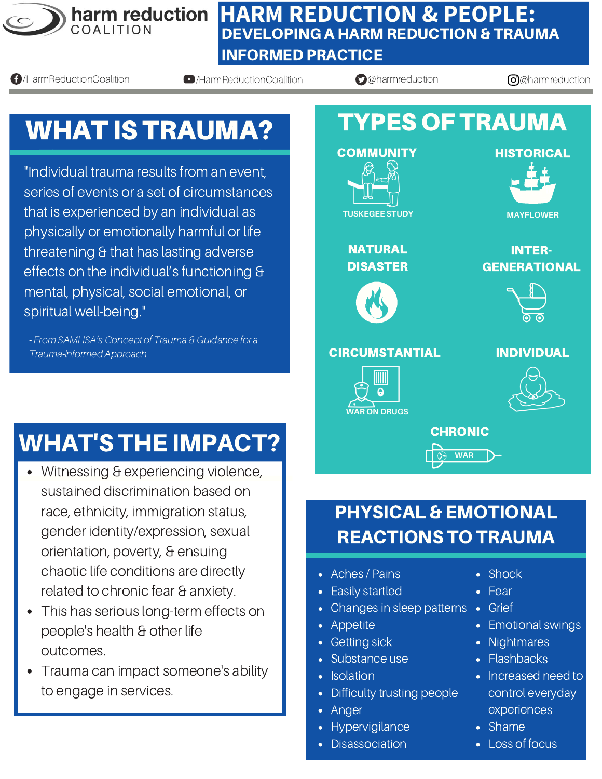

#### **HARM REDUCTION & PEOPLE:** DEVELOPING A HARM REDUCTION & TRAUMA INFORMED PRACTICE

**4** HarmReductionCoalition **b** HarmReductionCoalition **@**@harmreduction **@**harmreduction **@**harmreduction

# WHAT IS TRAUMA?

"Individual trauma results from an event, series of events or a set of circumstances that is experienced by an individual as physically or emotionally harmful or life threatening & that has lasting adverse effects on the individual's functioning & mental, physical, social emotional, or spiritual well-being."

- From SAMHSA's Concept of Trauma & Guidance for a Trauma-Informed Approach

## WHAT'S THE IMPACT?

- Witnessing & experiencing violence, sustained discrimination based on race, ethnicity, immigration status, gender identity/expression, sexual orientation, poverty, & ensuing chaotic life conditions are directly related to chronic fear & anxiety.
- This has serious long-term effects on people's health & other life outcomes.
- Trauma can impact someone's ability to engage in services.



### PHYSICAL & EMOTIONAL REACTIONS TO TRAUMA

**WAR**

- Aches / Pains
- Easily startled
- Changes in sleep patterns Grief
- Appetite
- Getting sick
- Substance use
- **Isolation**
- Difficulty trusting people
- Anger
- Hypervigilance
- **Disassociation**
- Shock
- Fear
- 
- Emotional swings
- Nightmares
- Flashbacks
- Increased need to control everyday experiences
- Shame
- Loss of focus